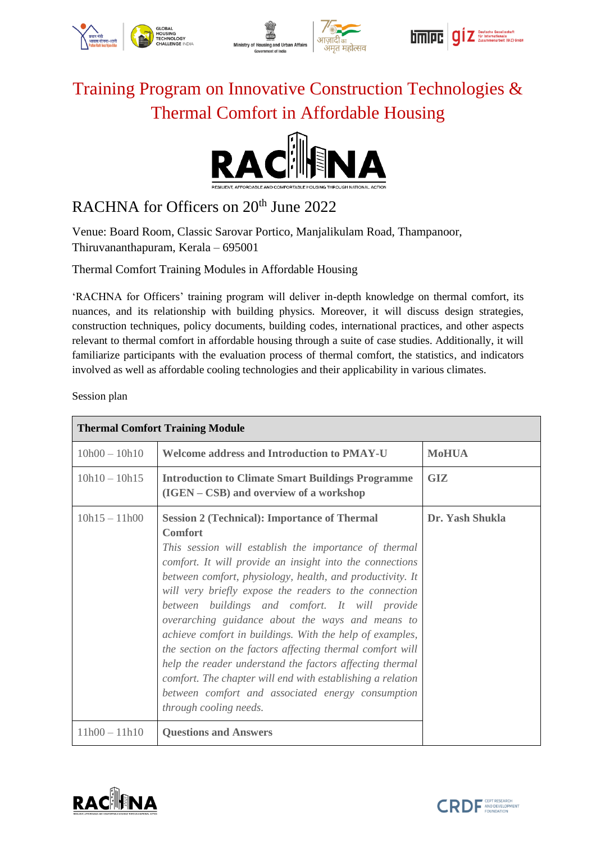





## Training Program on Innovative Construction Technologies & Thermal Comfort in Affordable Housing



## RACHNA for Officers on 20<sup>th</sup> June 2022

Venue: Board Room, Classic Sarovar Portico, Manjalikulam Road, Thampanoor, Thiruvananthapuram, Kerala – 695001

Thermal Comfort Training Modules in Affordable Housing

'RACHNA for Officers' training program will deliver in-depth knowledge on thermal comfort, its nuances, and its relationship with building physics. Moreover, it will discuss design strategies, construction techniques, policy documents, building codes, international practices, and other aspects relevant to thermal comfort in affordable housing through a suite of case studies. Additionally, it will familiarize participants with the evaluation process of thermal comfort, the statistics, and indicators involved as well as affordable cooling technologies and their applicability in various climates.

Session plan

| <b>Thermal Comfort Training Module</b> |                                                                                                                                                                                                                                                                                                                                                                                                                                                                                                                                                                                                                                                                                                                                                           |                 |  |  |
|----------------------------------------|-----------------------------------------------------------------------------------------------------------------------------------------------------------------------------------------------------------------------------------------------------------------------------------------------------------------------------------------------------------------------------------------------------------------------------------------------------------------------------------------------------------------------------------------------------------------------------------------------------------------------------------------------------------------------------------------------------------------------------------------------------------|-----------------|--|--|
| $10h00 - 10h10$                        | <b>Welcome address and Introduction to PMAY-U</b>                                                                                                                                                                                                                                                                                                                                                                                                                                                                                                                                                                                                                                                                                                         | <b>MoHUA</b>    |  |  |
| $10h10 - 10h15$                        | <b>Introduction to Climate Smart Buildings Programme</b><br>(IGEN – CSB) and overview of a workshop                                                                                                                                                                                                                                                                                                                                                                                                                                                                                                                                                                                                                                                       | <b>GIZ</b>      |  |  |
| $10h15 - 11h00$                        | <b>Session 2 (Technical): Importance of Thermal</b><br><b>Comfort</b><br>This session will establish the importance of thermal<br>comfort. It will provide an insight into the connections<br>between comfort, physiology, health, and productivity. It<br>will very briefly expose the readers to the connection<br>between buildings and comfort. It will provide<br>overarching guidance about the ways and means to<br>achieve comfort in buildings. With the help of examples,<br>the section on the factors affecting thermal comfort will<br>help the reader understand the factors affecting thermal<br>comfort. The chapter will end with establishing a relation<br>between comfort and associated energy consumption<br>through cooling needs. | Dr. Yash Shukla |  |  |
| $11h00 - 11h10$                        | <b>Questions and Answers</b>                                                                                                                                                                                                                                                                                                                                                                                                                                                                                                                                                                                                                                                                                                                              |                 |  |  |



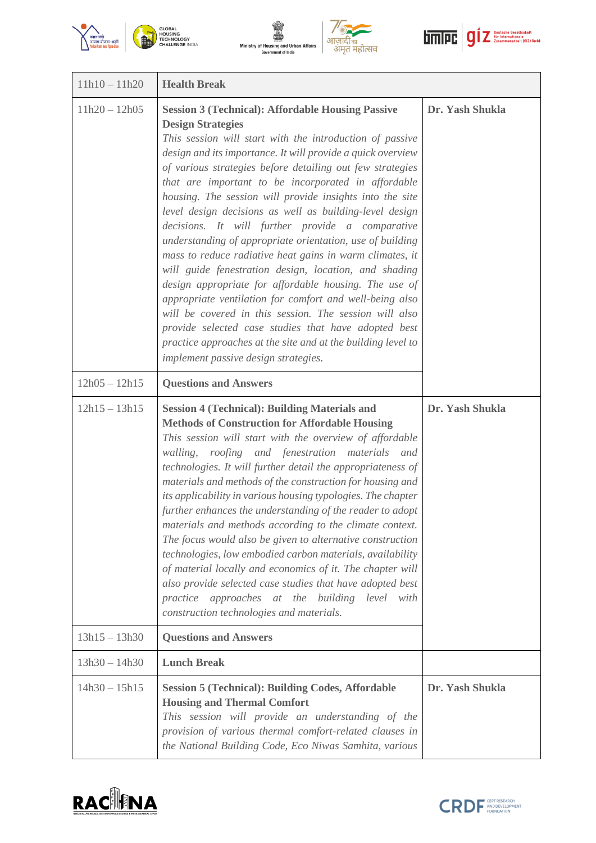







| $11h10 - 11h20$ | <b>Health Break</b>                                                                                                                                                                                                                                                                                                                                                                                                                                                                                                                                                                                                                                                                                                                                                                                                                                                                                                                                                                                                                            |                 |
|-----------------|------------------------------------------------------------------------------------------------------------------------------------------------------------------------------------------------------------------------------------------------------------------------------------------------------------------------------------------------------------------------------------------------------------------------------------------------------------------------------------------------------------------------------------------------------------------------------------------------------------------------------------------------------------------------------------------------------------------------------------------------------------------------------------------------------------------------------------------------------------------------------------------------------------------------------------------------------------------------------------------------------------------------------------------------|-----------------|
| $11h20 - 12h05$ | <b>Session 3 (Technical): Affordable Housing Passive</b><br><b>Design Strategies</b><br>This session will start with the introduction of passive<br>design and its importance. It will provide a quick overview<br>of various strategies before detailing out few strategies<br>that are important to be incorporated in affordable<br>housing. The session will provide insights into the site<br>level design decisions as well as building-level design<br>decisions. It will further provide a comparative<br>understanding of appropriate orientation, use of building<br>mass to reduce radiative heat gains in warm climates, it<br>will guide fenestration design, location, and shading<br>design appropriate for affordable housing. The use of<br>appropriate ventilation for comfort and well-being also<br>will be covered in this session. The session will also<br>provide selected case studies that have adopted best<br>practice approaches at the site and at the building level to<br>implement passive design strategies. | Dr. Yash Shukla |
| $12h05 - 12h15$ | <b>Questions and Answers</b>                                                                                                                                                                                                                                                                                                                                                                                                                                                                                                                                                                                                                                                                                                                                                                                                                                                                                                                                                                                                                   |                 |
| $12h15 - 13h15$ | <b>Session 4 (Technical): Building Materials and</b><br><b>Methods of Construction for Affordable Housing</b><br>This session will start with the overview of affordable<br>roofing and fenestration materials and<br>walling,<br>technologies. It will further detail the appropriateness of<br>materials and methods of the construction for housing and<br>its applicability in various housing typologies. The chapter<br>further enhances the understanding of the reader to adopt<br>materials and methods according to the climate context.<br>The focus would also be given to alternative construction<br>technologies, low embodied carbon materials, availability<br>of material locally and economics of it. The chapter will<br>also provide selected case studies that have adopted best<br>practice approaches at the building level with<br>construction technologies and materials.                                                                                                                                           | Dr. Yash Shukla |
| $13h15 - 13h30$ | <b>Questions and Answers</b>                                                                                                                                                                                                                                                                                                                                                                                                                                                                                                                                                                                                                                                                                                                                                                                                                                                                                                                                                                                                                   |                 |
| $13h30 - 14h30$ | <b>Lunch Break</b>                                                                                                                                                                                                                                                                                                                                                                                                                                                                                                                                                                                                                                                                                                                                                                                                                                                                                                                                                                                                                             |                 |
| $14h30 - 15h15$ | <b>Session 5 (Technical): Building Codes, Affordable</b><br><b>Housing and Thermal Comfort</b><br>This session will provide an understanding of the<br>provision of various thermal comfort-related clauses in<br>the National Building Code, Eco Niwas Samhita, various                                                                                                                                                                                                                                                                                                                                                                                                                                                                                                                                                                                                                                                                                                                                                                       | Dr. Yash Shukla |